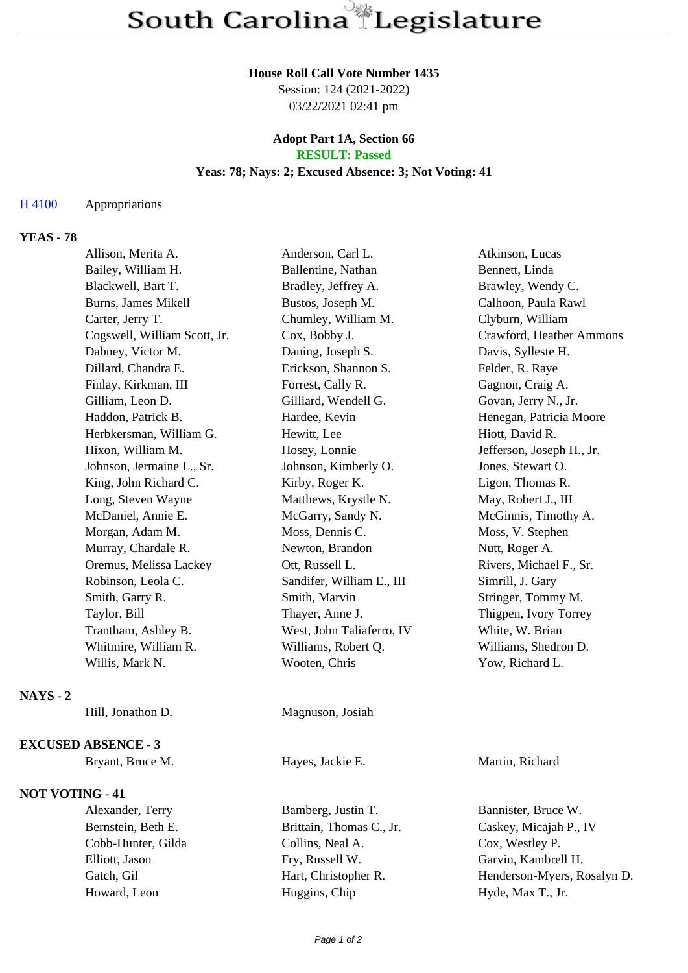#### **House Roll Call Vote Number 1435**

Session: 124 (2021-2022) 03/22/2021 02:41 pm

## **Adopt Part 1A, Section 66 RESULT: Passed**

### **Yeas: 78; Nays: 2; Excused Absence: 3; Not Voting: 41**

### H 4100 Appropriations

# **YEAS - 78**

|                        | Allison, Merita A.           | Anderson, Carl L.         | Atkinson, Lucas           |
|------------------------|------------------------------|---------------------------|---------------------------|
|                        | Bailey, William H.           | Ballentine, Nathan        | Bennett, Linda            |
|                        | Blackwell, Bart T.           | Bradley, Jeffrey A.       | Brawley, Wendy C.         |
|                        | Burns, James Mikell          | Bustos, Joseph M.         | Calhoon, Paula Rawl       |
|                        | Carter, Jerry T.             | Chumley, William M.       | Clyburn, William          |
|                        | Cogswell, William Scott, Jr. | Cox, Bobby J.             | Crawford, Heather Ammons  |
|                        | Dabney, Victor M.            | Daning, Joseph S.         | Davis, Sylleste H.        |
|                        | Dillard, Chandra E.          | Erickson, Shannon S.      | Felder, R. Raye           |
|                        | Finlay, Kirkman, III         | Forrest, Cally R.         | Gagnon, Craig A.          |
|                        | Gilliam, Leon D.             | Gilliard, Wendell G.      | Govan, Jerry N., Jr.      |
|                        | Haddon, Patrick B.           | Hardee, Kevin             | Henegan, Patricia Moore   |
|                        | Herbkersman, William G.      | Hewitt, Lee               | Hiott, David R.           |
|                        | Hixon, William M.            | Hosey, Lonnie             | Jefferson, Joseph H., Jr. |
|                        | Johnson, Jermaine L., Sr.    | Johnson, Kimberly O.      | Jones, Stewart O.         |
|                        | King, John Richard C.        | Kirby, Roger K.           | Ligon, Thomas R.          |
|                        | Long, Steven Wayne           | Matthews, Krystle N.      | May, Robert J., III       |
|                        | McDaniel, Annie E.           | McGarry, Sandy N.         | McGinnis, Timothy A.      |
|                        | Morgan, Adam M.              | Moss, Dennis C.           | Moss, V. Stephen          |
|                        | Murray, Chardale R.          | Newton, Brandon           | Nutt, Roger A.            |
|                        | Oremus, Melissa Lackey       | Ott, Russell L.           | Rivers, Michael F., Sr.   |
|                        | Robinson, Leola C.           | Sandifer, William E., III | Simrill, J. Gary          |
|                        | Smith, Garry R.              | Smith, Marvin             | Stringer, Tommy M.        |
|                        | Taylor, Bill                 | Thayer, Anne J.           | Thigpen, Ivory Torrey     |
|                        | Trantham, Ashley B.          | West, John Taliaferro, IV | White, W. Brian           |
|                        | Whitmire, William R.         | Williams, Robert Q.       | Williams, Shedron D.      |
|                        | Willis, Mark N.              | Wooten, Chris             | Yow, Richard L.           |
| $NAYS - 2$             |                              |                           |                           |
|                        | Hill, Jonathon D.            | Magnuson, Josiah          |                           |
|                        | <b>EXCUSED ABSENCE - 3</b>   |                           |                           |
|                        | Bryant, Bruce M.             | Hayes, Jackie E.          | Martin, Richard           |
| <b>NOT VOTING - 41</b> |                              |                           |                           |

Alexander, Terry Bamberg, Justin T. Bannister, Bruce W. Bernstein, Beth E. Brittain, Thomas C., Jr. Caskey, Micajah P., IV Cobb-Hunter, Gilda Collins, Neal A. Cox, Westley P. Elliott, Jason Fry, Russell W. Garvin, Kambrell H. Howard, Leon Huggins, Chip Hyde, Max T., Jr.

Gatch, Gil Hart, Christopher R. Henderson-Myers, Rosalyn D.